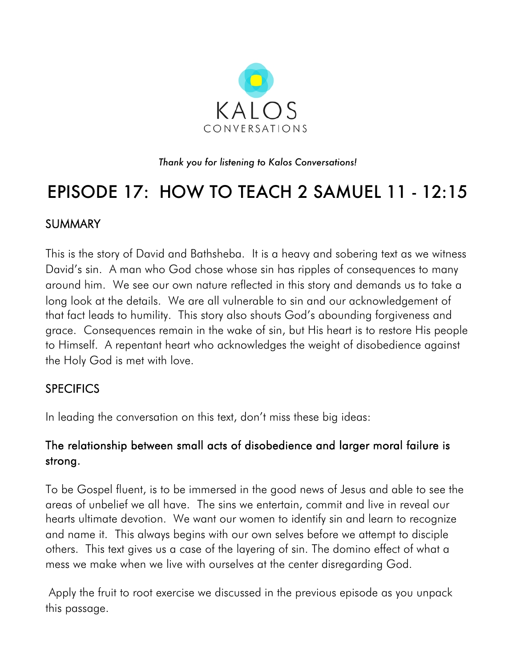

*Thank you for listening to Kalos Conversations!*

# EPISODE 17: HOW TO TEACH 2 SAMUEL 11 - 12:15

## SUMMARY

This is the story of David and Bathsheba. It is a heavy and sobering text as we witness David's sin. A man who God chose whose sin has ripples of consequences to many around him. We see our own nature reflected in this story and demands us to take a long look at the details. We are all vulnerable to sin and our acknowledgement of that fact leads to humility. This story also shouts God's abounding forgiveness and grace. Consequences remain in the wake of sin, but His heart is to restore His people to Himself. A repentant heart who acknowledges the weight of disobedience against the Holy God is met with love.

#### **SPECIFICS**

In leading the conversation on this text, don't miss these big ideas:

## The relationship between small acts of disobedience and larger moral failure is strong.

To be Gospel fluent, is to be immersed in the good news of Jesus and able to see the areas of unbelief we all have. The sins we entertain, commit and live in reveal our hearts ultimate devotion. We want our women to identify sin and learn to recognize and name it. This always begins with our own selves before we attempt to disciple others. This text gives us a case of the layering of sin. The domino effect of what a mess we make when we live with ourselves at the center disregarding God.

Apply the fruit to root exercise we discussed in the previous episode as you unpack this passage.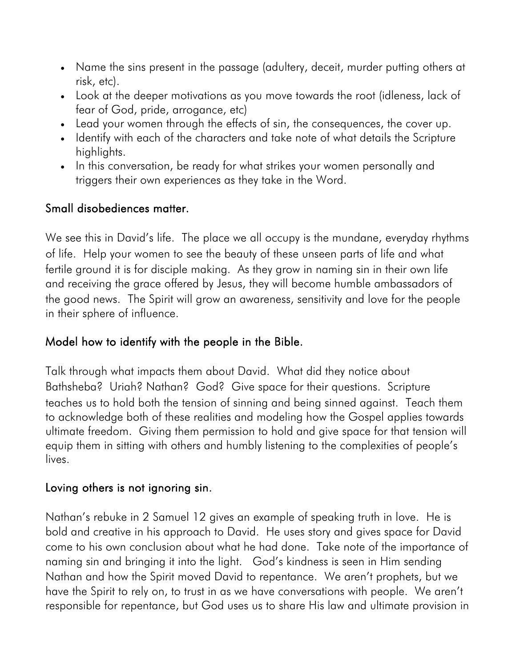- Name the sins present in the passage (adultery, deceit, murder putting others at risk, etc).
- Look at the deeper motivations as you move towards the root (idleness, lack of fear of God, pride, arrogance, etc)
- Lead your women through the effects of sin, the consequences, the cover up.
- Identify with each of the characters and take note of what details the Scripture highlights.
- In this conversation, be ready for what strikes your women personally and triggers their own experiences as they take in the Word.

## Small disobediences matter.

We see this in David's life. The place we all occupy is the mundane, everyday rhythms of life. Help your women to see the beauty of these unseen parts of life and what fertile ground it is for disciple making. As they grow in naming sin in their own life and receiving the grace offered by Jesus, they will become humble ambassadors of the good news. The Spirit will grow an awareness, sensitivity and love for the people in their sphere of influence.

## Model how to identify with the people in the Bible.

Talk through what impacts them about David. What did they notice about Bathsheba? Uriah? Nathan? God? Give space for their questions. Scripture teaches us to hold both the tension of sinning and being sinned against. Teach them to acknowledge both of these realities and modeling how the Gospel applies towards ultimate freedom. Giving them permission to hold and give space for that tension will equip them in sitting with others and humbly listening to the complexities of people's lives.

#### Loving others is not ignoring sin.

Nathan's rebuke in 2 Samuel 12 gives an example of speaking truth in love. He is bold and creative in his approach to David. He uses story and gives space for David come to his own conclusion about what he had done. Take note of the importance of naming sin and bringing it into the light. God's kindness is seen in Him sending Nathan and how the Spirit moved David to repentance. We aren't prophets, but we have the Spirit to rely on, to trust in as we have conversations with people. We aren't responsible for repentance, but God uses us to share His law and ultimate provision in